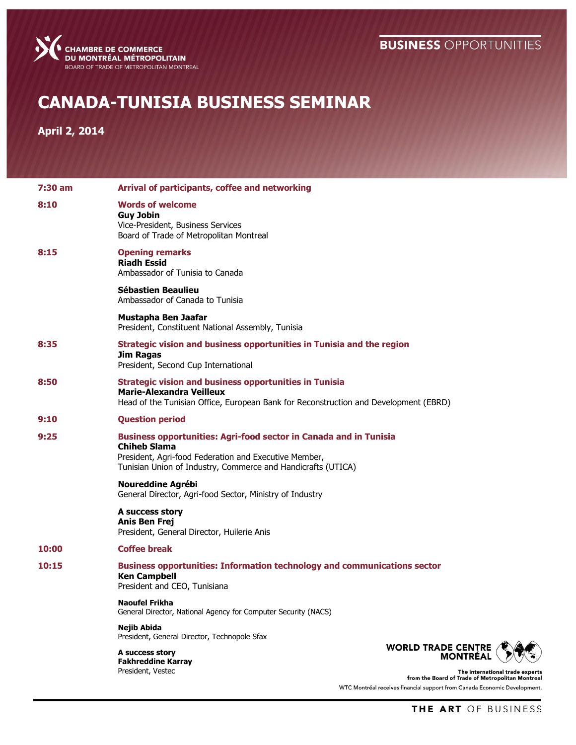## **BUSINESS OPPORTUNITIES**



## **CANADA-TUNISIA BUSINESS SEMINAR**

**April 2, 2014**

| 7:30 am | Arrival of participants, coffee and networking                                                                                                                                                                                                                          |
|---------|-------------------------------------------------------------------------------------------------------------------------------------------------------------------------------------------------------------------------------------------------------------------------|
| 8:10    | <b>Words of welcome</b><br><b>Guy Jobin</b><br>Vice-President, Business Services<br>Board of Trade of Metropolitan Montreal                                                                                                                                             |
| 8:15    | <b>Opening remarks</b><br><b>Riadh Essid</b><br>Ambassador of Tunisia to Canada                                                                                                                                                                                         |
|         | Sébastien Beaulieu<br>Ambassador of Canada to Tunisia                                                                                                                                                                                                                   |
|         | Mustapha Ben Jaafar<br>President, Constituent National Assembly, Tunisia                                                                                                                                                                                                |
| 8:35    | Strategic vision and business opportunities in Tunisia and the region<br><b>Jim Ragas</b><br>President, Second Cup International                                                                                                                                        |
| 8:50    | <b>Strategic vision and business opportunities in Tunisia</b><br>Marie-Alexandra Veilleux<br>Head of the Tunisian Office, European Bank for Reconstruction and Development (EBRD)                                                                                       |
| 9:10    | <b>Question period</b>                                                                                                                                                                                                                                                  |
| 9:25    | <b>Business opportunities: Agri-food sector in Canada and in Tunisia</b><br><b>Chiheb Slama</b><br>President, Agri-food Federation and Executive Member,<br>Tunisian Union of Industry, Commerce and Handicrafts (UTICA)                                                |
|         | <b>Noureddine Agrébi</b><br>General Director, Agri-food Sector, Ministry of Industry                                                                                                                                                                                    |
|         | A success story<br><b>Anis Ben Frej</b><br>President, General Director, Huilerie Anis                                                                                                                                                                                   |
| 10:00   | <b>Coffee break</b>                                                                                                                                                                                                                                                     |
| 10:15   | <b>Business opportunities: Information technology and communications sector</b><br><b>Ken Campbell</b><br>President and CEO, Tunisiana                                                                                                                                  |
|         | <b>Naoufel Frikha</b><br>General Director, National Agency for Computer Security (NACS)                                                                                                                                                                                 |
|         | Nejib Abida<br>President, General Director, Technopole Sfax<br><b>WORLD TRADE CENTRE</b><br>A success story<br><b>MONTRÉAL</b><br><b>Fakhreddine Karray</b><br>President, Vestec<br>The international trade experts<br>from the Board of Trade of Metropolitan Montreal |
|         | WTC Montréal receives financial support from Canada Economic Development.                                                                                                                                                                                               |